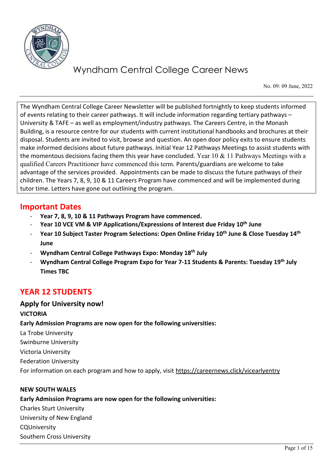

No. 09: 09 June, 2022

The Wyndham Central College Career Newsletter will be published fortnightly to keep students informed of events relating to their career pathways. It will include information regarding tertiary pathways – University & TAFE – as well as employment/industry pathways. The Careers Centre, in the Monash Building, is a resource centre for our students with current institutional handbooks and brochures at their disposal. Students are invited to visit, browse and question. An open door policy exits to ensure students make informed decisions about future pathways. Initial Year 12 Pathways Meetings to assist students with the momentous decisions facing them this year have concluded. Year 10  $&$  11 Pathways Meetings with a qualified Careers Practitioner have commenced this term. Parents/guardians are welcome to take advantage of the services provided. Appointments can be made to discuss the future pathways of their children. The Years 7, 8, 9, 10 & 11 Careers Program have commenced and will be implemented during tutor time. Letters have gone out outlining the program.

# **Important Dates**

- **Year 7, 8, 9, 10 & 11 Pathways Program have commenced.**
- **Year 10 VCE VM & VIP Applications/Expressions of Interest due Friday 10th June**
- **Year 10 Subject Taster Program Selections: Open Online Friday 10th June & Close Tuesday 14th June**
- **Wyndham Central College Pathways Expo: Monday 18th July**
- **Wyndham Central College Program Expo for Year 7-11 Students & Parents: Tuesday 19th July Times TBC**

# **YEAR 12 STUDENTS**

# **Apply for University now!**

## **VICTORIA**

**Early Admission Programs are now open for the following universities:**

La Trobe University

Swinburne University

Victoria University

Federation University

For information on each program and how to apply, visit https://careernews.click/vicearlyentry

### **NEW SOUTH WALES**

# **Early Admission Programs are now open for the following universities:**

Charles Sturt University University of New England

CQUniversity

Southern Cross University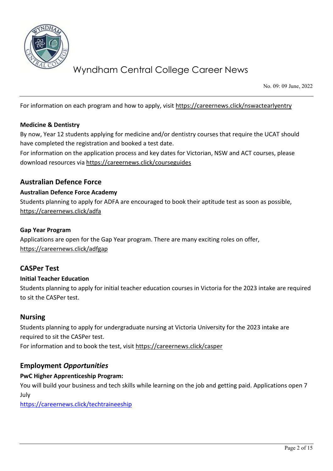

No. 09: 09 June, 2022

For information on each program and how to apply, visit https://careernews.click/nswactearlyentry

### **Medicine & Dentistry**

By now, Year 12 students applying for medicine and/or dentistry courses that require the UCAT should have completed the registration and booked a test date.

For information on the application process and key dates for Victorian, NSW and ACT courses, please download resources via<https://careernews.click/courseguides>

## **Australian Defence Force**

### **Australian Defence Force Academy**

Students planning to apply for ADFA are encouraged to book their aptitude test as soon as possible, <https://careernews.click/adfa>

### **Gap Year Program**

Applications are open for the Gap Year program. There are many exciting roles on offer, <https://careernews.click/adfgap>

## **CASPer Test**

### **Initial Teacher Education**

Students planning to apply for initial teacher education courses in Victoria for the 2023 intake are required to sit the CASPer test.

### **Nursing**

Students planning to apply for undergraduate nursing at Victoria University for the 2023 intake are required to sit the CASPer test. For information and to book the test, visit<https://careernews.click/casper>

## **Employment** *Opportunities*

### **PwC Higher Apprenticeship Program:**

You will build your business and tech skills while learning on the job and getting paid. Applications open 7 July

<https://careernews.click/techtraineeship>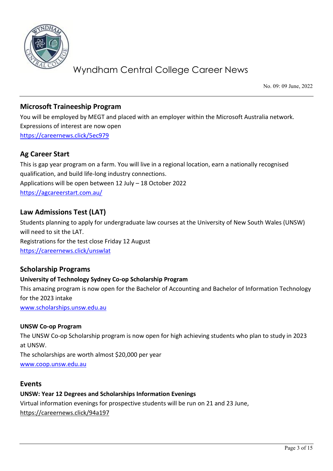

No. 09: 09 June, 2022

# **Microsoft Traineeship Program**

You will be employed by MEGT and placed with an employer within the Microsoft Australia network. Expressions of interest are now open <https://careernews.click/5ec979>

# **Ag Career Start**

This is gap year program on a farm. You will live in a regional location, earn a nationally recognised qualification, and build life-long industry connections. Applications will be open between 12 July – 18 October 2022 <https://agcareerstart.com.au/>

# **Law Admissions Test (LAT)**

Students planning to apply for undergraduate law courses at the University of New South Wales (UNSW) will need to sit the LAT. Registrations for the test close Friday 12 August <https://careernews.click/unswlat>

## **Scholarship Programs**

### **University of Technology Sydney Co-op Scholarship Program**

This amazing program is now open for the Bachelor of Accounting and Bachelor of Information Technology for the 2023 intake

[www.scholarships.unsw.edu.au](http://www.scholarships.unsw.edu.au/) 

### **UNSW Co-op Program**

The UNSW Co-op Scholarship program is now open for high achieving students who plan to study in 2023 at UNSW.

The scholarships are worth almost \$20,000 per year [www.coop.unsw.edu.au](http://www.coop.unsw.edu.au/)

## **Events**

**UNSW: Year 12 Degrees and Scholarships Information Evenings**  Virtual information evenings for prospective students will be run on 21 and 23 June, <https://careernews.click/94a197>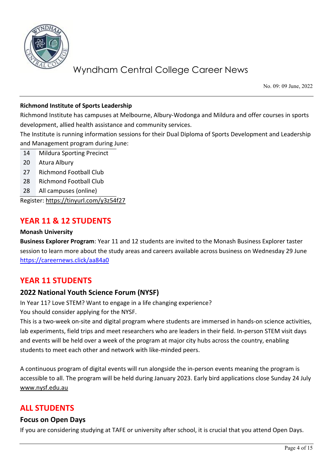

No. 09: 09 June, 2022

## **Richmond Institute of Sports Leadership**

Richmond Institute has campuses at Melbourne, Albury-Wodonga and Mildura and offer courses in sports development, allied health assistance and community services.

The Institute is running information sessions for their Dual Diploma of Sports Development and Leadership and Management program during June:

- 14 Mildura Sporting Precinct
- 20 Atura Albury
- 27 Richmond Football Club
- 28 Richmond Football Club
- 28 All campuses (online)

Register[: https://tinyurl.com/y3z54f27](https://tinyurl.com/y3z54f27) 

# **YEAR 11 & 12 STUDENTS**

### **Monash University**

**Business Explorer Program**: Year 11 and 12 students are invited to the Monash Business Explorer taster session to learn more about the study areas and careers available across business on Wednesday 29 June <https://careernews.click/aa84a0>

# **YEAR 11 STUDENTS**

## **2022 National Youth Science Forum (NYSF)**

In Year 11? Love STEM? Want to engage in a life changing experience?

You should consider applying for the NYSF.

This is a two-week on-site and digital program where students are immersed in hands-on science activities, lab experiments, field trips and meet researchers who are leaders in their field. In-person STEM visit days and events will be held over a week of the program at major city hubs across the country, enabling students to meet each other and network with like-minded peers.

A continuous program of digital events will run alongside the in-person events meaning the program is accessible to all. The program will be held during January 2023. Early bird applications close Sunday 24 July [www.nysf.edu.au](http://www.nysf.edu.au/) 

# **ALL STUDENTS**

### **Focus on Open Days**

If you are considering studying at TAFE or university after school, it is crucial that you attend Open Days.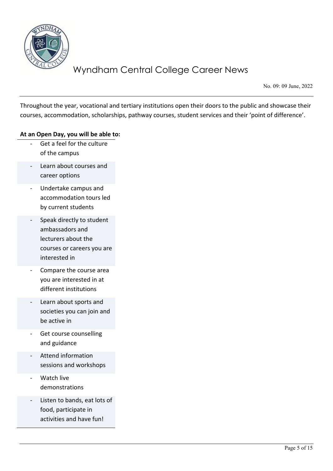

No. 09: 09 June, 2022

Throughout the year, vocational and tertiary institutions open their doors to the public and showcase their courses, accommodation, scholarships, pathway courses, student services and their 'point of difference'.

### **At an Open Day, you will be able to:**

- Get a feel for the culture of the campus
- Learn about courses and career options
- Undertake campus and accommodation tours led by current students
- Speak directly to student ambassadors and lecturers about the courses or careers you are interested in
- Compare the course area you are interested in at different institutions
- Learn about sports and societies you can join and be active in
- Get course counselling and guidance
- Attend information sessions and workshops
- Watch live demonstrations
- Listen to bands, eat lots of food, participate in activities and have fun!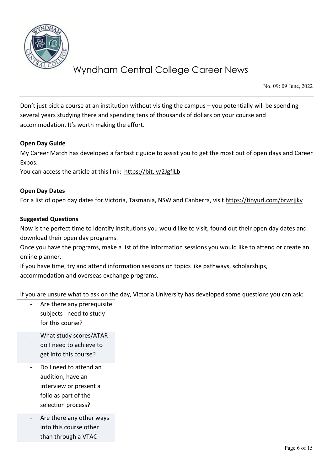

No. 09: 09 June, 2022

Don't just pick a course at an institution without visiting the campus – you potentially will be spending several years studying there and spending tens of thousands of dollars on your course and accommodation. It's worth making the effort.

### **Open Day Guide**

My Career Match has developed a fantastic guide to assist you to get the most out of open days and Career Expos.

You can access the article at this link: https://bit.ly/2JgflLb

### **Open Day Dates**

For a list of open day dates for Victoria, Tasmania, NSW and Canberra, visit<https://tinyurl.com/brwrjjkv>

### **Suggested Questions**

Now is the perfect time to identify institutions you would like to visit, found out their open day dates and download their open day programs.

Once you have the programs, make a list of the information sessions you would like to attend or create an online planner.

If you have time, try and attend information sessions on topics like pathways, scholarships, accommodation and overseas exchange programs.

If you are unsure what to ask on the day, Victoria University has developed some questions you can ask:

- Are there any prerequisite subjects I need to study for this course?
- What study scores/ATAR do I need to achieve to get into this course?
- Do I need to attend an audition, have an interview or present a folio as part of the selection process?
- Are there any other ways into this course other than through a VTAC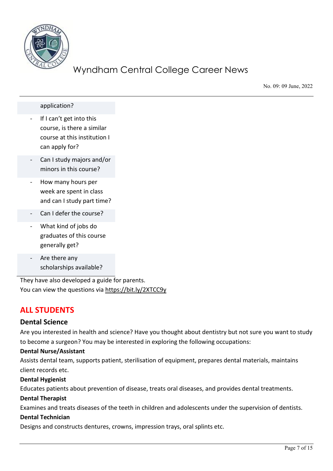

No. 09: 09 June, 2022

application?

- If I can't get into this course, is there a similar course at this institution I can apply for?
- Can I study majors and/or minors in this course?
- How many hours per week are spent in class and can I study part time?
- Can I defer the course?
- What kind of jobs do graduates of this course generally get?
- Are there any scholarships available?

They have also developed a guide for parents. You can view the questions via<https://bit.ly/2XTCC9y>

# **ALL STUDENTS**

### **Dental Science**

Are you interested in health and science? Have you thought about dentistry but not sure you want to study to become a surgeon? You may be interested in exploring the following occupations:

### **Dental Nurse/Assistant**

Assists dental team, supports patient, sterilisation of equipment, prepares dental materials, maintains client records etc.

### **Dental Hygienist**

Educates patients about prevention of disease, treats oral diseases, and provides dental treatments.

### **Dental Therapist**

Examines and treats diseases of the teeth in children and adolescents under the supervision of dentists.

### **Dental Technician**

Designs and constructs dentures, crowns, impression trays, oral splints etc.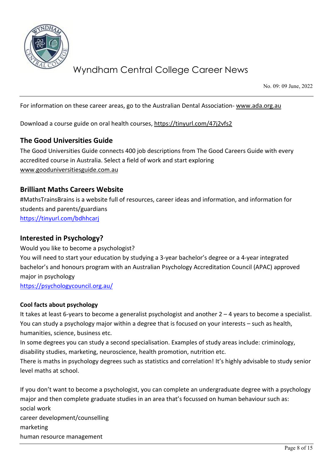

No. 09: 09 June, 2022

For information on these career areas, go to the Australian Dental Association- www.ada.org.au

Download a course guide on oral health courses[, https://tinyurl.com/47j2vfs2](https://tinyurl.com/47j2vfs2) 

## **The Good Universities Guide**

The Good Universities Guide connects 400 job descriptions from The Good Careers Guide with every accredited course in Australia. Select a field of work and start exploring [www.gooduniversitiesguide.com.au](http://www.gooduniversitiesguide.com.au/)

# **Brilliant Maths Careers Website**

#MathsTrainsBrains is a website full of resources, career ideas and information, and information for students and parents/guardians <https://tinyurl.com/bdhhcarj>

## **Interested in Psychology?**

Would you like to become a psychologist? You will need to start your education by studying a 3-year bachelor's degree or a 4-year integrated bachelor's and honours program with an Australian Psychology Accreditation Council (APAC) approved major in psychology <https://psychologycouncil.org.au/>

### **Cool facts about psychology**

It takes at least 6-years to become a generalist psychologist and another 2 – 4 years to become a specialist. You can study a psychology major within a degree that is focused on your interests – such as health, humanities, science, business etc.

In some degrees you can study a second specialisation. Examples of study areas include: criminology, disability studies, marketing, neuroscience, health promotion, nutrition etc.

There is maths in psychology degrees such as statistics and correlation! It's highly advisable to study senior level maths at school.

If you don't want to become a psychologist, you can complete an undergraduate degree with a psychology major and then complete graduate studies in an area that's focussed on human behaviour such as: social work career development/counselling marketing human resource management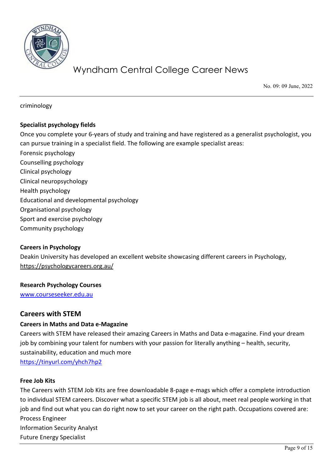

No. 09: 09 June, 2022

criminology

### **Specialist psychology fields**

Once you complete your 6-years of study and training and have registered as a generalist psychologist, you can pursue training in a specialist field. The following are example specialist areas:

- Forensic psychology
- Counselling psychology
- Clinical psychology
- Clinical neuropsychology
- Health psychology
- Educational and developmental psychology
- Organisational psychology
- Sport and exercise psychology
- Community psychology

### **Careers in Psychology**

Deakin University has developed an excellent website showcasing different careers in Psychology, <https://psychologycareers.org.au/>

### **Research Psychology Courses**

[www.courseseeker.edu.au](http://www.courseseeker.edu.au/) 

### **Careers with STEM**

### **Careers in Maths and Data e-Magazine**

Careers with STEM have released their amazing Careers in Maths and Data e-magazine. Find your dream job by combining your talent for numbers with your passion for literally anything – health, security, sustainability, education and much more <https://tinyurl.com/yhch7hp2>

**Free Job Kits**

The Careers with STEM Job Kits are free downloadable 8-page e-mags which offer a complete introduction to individual STEM careers. Discover what a specific STEM job is all about, meet real people working in that job and find out what you can do right now to set your career on the right path. Occupations covered are: Process Engineer Information Security Analyst Future Energy Specialist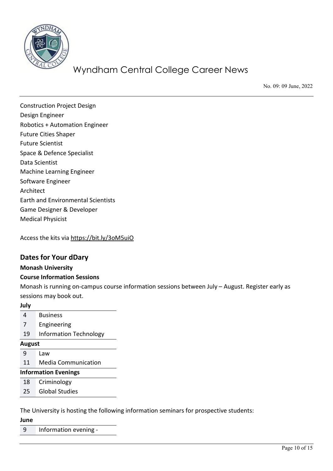

No. 09: 09 June, 2022

Construction Project Design Design Engineer Robotics + Automation Engineer Future Cities Shaper Future Scientist Space & Defence Specialist Data Scientist Machine Learning Engineer Software Engineer Architect Earth and Environmental Scientists Game Designer & Developer Medical Physicist

Access the kits via <https://bit.ly/3oM5uiO>

## **Dates for Your dDary**

### **Monash University**

### **Course Information Sessions**

Monash is running on-campus course information sessions between July – August. Register early as sessions may book out.

### **July**

- 4 Business
- 7 Engineering
- 19 Information Technology

#### **August**

- 9 Law
- 11 Media Communication

### **Information Evenings**

- 18 Criminology
- 25 Global Studies

The University is hosting the following information seminars for prospective students:

**June**

9 Information evening -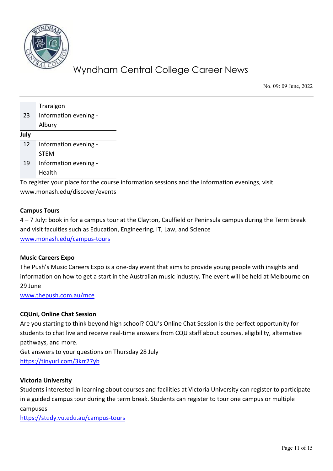

No. 09: 09 June, 2022

|      | Traralgon                                                                                      |
|------|------------------------------------------------------------------------------------------------|
| 23   | Information evening -                                                                          |
|      | Albury                                                                                         |
| July |                                                                                                |
| 12   | Information evening -                                                                          |
|      | <b>STEM</b>                                                                                    |
| 19   | Information evening -                                                                          |
|      | Health                                                                                         |
|      | To register your place for the course information sessions and the information evenings, visit |

[www.monash.edu/discover/events](http://www.monash.edu/discover/events)

### **Campus Tours**

4 – 7 July: book in for a campus tour at the Clayton, Caulfield or Peninsula campus during the Term break and visit faculties such as Education, Engineering, IT, Law, and Science [www.monash.edu/campus-tours](http://www.monash.edu/campus-tours) 

### **Music Careers Expo**

The Push's Music Careers Expo is a one-day event that aims to provide young people with insights and information on how to get a start in the Australian music industry. The event will be held at Melbourne on 29 June

[www.thepush.com.au/mce](http://www.thepush.com.au/mce) 

### **CQUni, Online Chat Session**

Are you starting to think beyond high school? CQU's Online Chat Session is the perfect opportunity for students to chat live and receive real-time answers from CQU staff about courses, eligibility, alternative pathways, and more.

Get answers to your questions on Thursday 28 July <https://tinyurl.com/3krr27yb>

### **Victoria University**

Students interested in learning about courses and facilities at Victoria University can register to participate in a guided campus tour during the term break. Students can register to tour one campus or multiple campuses

<https://study.vu.edu.au/campus-tours>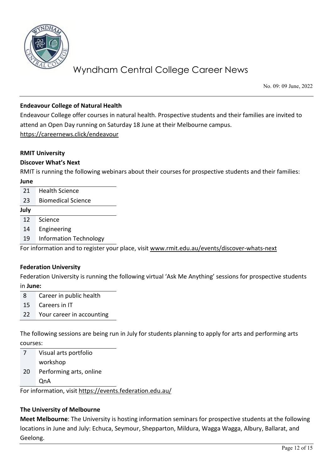

No. 09: 09 June, 2022

## **Endeavour College of Natural Health**

Endeavour College offer courses in natural health. Prospective students and their families are invited to attend an Open Day running on Saturday 18 June at their Melbourne campus. <https://careernews.click/endeavour>

### **RMIT University**

### **Discover What's Next**

RMIT is running the following webinars about their courses for prospective students and their families:

#### **June**

- 21 Health Science
- 23 Biomedical Science

#### **July**

- 12 Science
- 14 Engineering
- 19 Information Technology

For information and to register your place, visit [www.rmit.edu.au/events/discover-whats-next](http://www.rmit.edu.au/events/discover-whats-next) 

### **Federation University**

Federation University is running the following virtual 'Ask Me Anything' sessions for prospective students in **June:**

- 8 Career in public health
- 15 Careers in IT
- 22 Your career in accounting

The following sessions are being run in July for students planning to apply for arts and performing arts courses:

7 Visual arts portfolio workshop 20 Performing arts, online

QnA

For information, visit https://events.federation.edu.au/

### **The University of Melbourne**

**Meet Melbourne**: The University is hosting information seminars for prospective students at the following locations in June and July: Echuca, Seymour, Shepparton, Mildura, Wagga Wagga, Albury, Ballarat, and Geelong.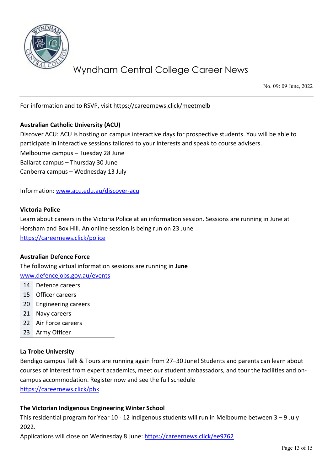

No. 09: 09 June, 2022

For information and to RSVP, visit <https://careernews.click/meetmelb>

### **Australian Catholic University (ACU)**

Discover ACU: ACU is hosting on campus interactive days for prospective students. You will be able to participate in interactive sessions tailored to your interests and speak to course advisers. Melbourne campus – Tuesday 28 June Ballarat campus – Thursday 30 June Canberra campus – Wednesday 13 July

Information: [www.acu.edu.au/discover-acu](http://www.acu.edu.au/discover-acu)

#### **Victoria Police**

Learn about careers in the Victoria Police at an information session. Sessions are running in June at Horsham and Box Hill. An online session is being run on 23 June <https://careernews.click/police>

### **Australian Defence Force**

The following virtual information sessions are running in **June**

[www.defencejobs.gov.au/events](http://www.defencejobs.gov.au/events)

- 14 Defence careers
- 15 Officer careers
- 20 Engineering careers
- 21 Navy careers
- 22 Air Force careers
- 23 Army Officer

### **La Trobe University**

Bendigo campus Talk & Tours are running again from 27–30 June! Students and parents can learn about courses of interest from expert academics, meet our student ambassadors, and tour the facilities and oncampus accommodation. Register now and see the full schedule

<https://careernews.click/phk>

### **The Victorian Indigenous Engineering Winter School**

This residential program for Year 10 - 12 Indigenous students will run in Melbourne between 3 – 9 July 2022.

Applications will close on Wednesday 8 June:<https://careernews.click/ee9762>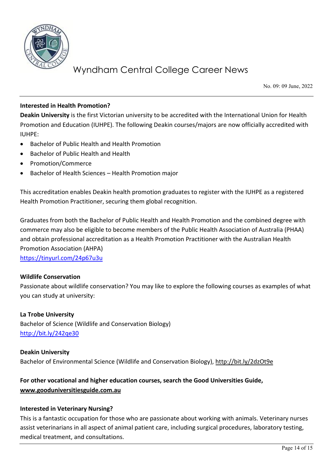

No. 09: 09 June, 2022

### **Interested in Health Promotion?**

**Deakin University** is the first Victorian university to be accredited with the International Union for Health Promotion and Education (IUHPE). The following Deakin courses/majors are now officially accredited with IUHPE:

- Bachelor of Public Health and Health Promotion
- Bachelor of Public Health and Health
- Promotion/Commerce
- Bachelor of Health Sciences Health Promotion major

This accreditation enables Deakin health promotion graduates to register with the IUHPE as a registered Health Promotion Practitioner, securing them global recognition.

Graduates from both the Bachelor of Public Health and Health Promotion and the combined degree with commerce may also be eligible to become members of the Public Health Association of Australia (PHAA) and obtain professional accreditation as a Health Promotion Practitioner with the Australian Health Promotion Association (AHPA) <https://tinyurl.com/24p67u3u>

### **Wildlife Conservation**

Passionate about wildlife conservation? You may like to explore the following courses as examples of what you can study at university:

**La Trobe University** Bachelor of Science (Wildlife and Conservation Biology) <http://bit.ly/242qe30>

**Deakin University** Bachelor of Environmental Science (Wildlife and Conservation Biology),<http://bit.ly/2dzOt9e>

## **For other vocational and higher education courses, search the Good Universities Guide, [www.gooduniversitiesguide.com.au](http://www.gooduniversitiesguide.com.au/)**

### **Interested in Veterinary Nursing?**

This is a fantastic occupation for those who are passionate about working with animals. Veterinary nurses assist veterinarians in all aspect of animal patient care, including surgical procedures, laboratory testing, medical treatment, and consultations.